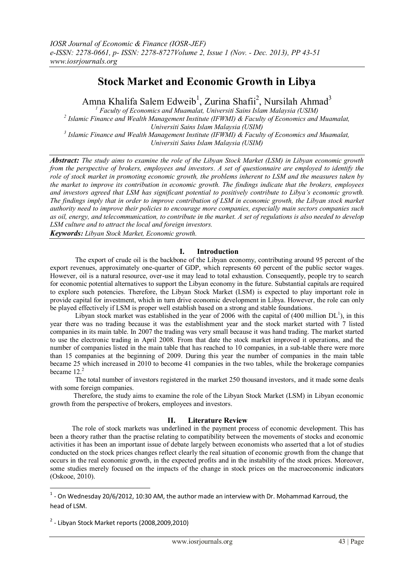# **Stock Market and Economic Growth in Libya**

Amna Khalifa Salem Edweib<sup>1</sup>, Zurina Shafii<sup>2</sup>, Nursilah Ahmad<sup>3</sup>

*<sup>1</sup> Faculty of Economics and Muamalat, Universiti Sains Islam Malaysia (USIM) 2 Islamic Finance and Wealth Management Institute (IFWMI) & Faculty of Economics and Muamalat, Universiti Sains Islam Malaysia (USIM) 3 Islamic Finance and Wealth Management Institute (IFWMI) & Faculty of Economics and Muamalat, Universiti Sains Islam Malaysia (USIM)*

*Abstract: The study aims to examine the role of the Libyan Stock Market (LSM) in Libyan economic growth from the perspective of brokers, employees and investors. A set of questionnaire are employed to identify the role of stock market in promoting economic growth, the problems inherent to LSM and the measures taken by the market to improve its contribution in economic growth. The findings indicate that the brokers, employees and investors agreed that LSM has significant potential to positively contribute to Libya's economic growth. The findings imply that in order to improve contribution of LSM in economic growth, the Libyan stock market authority need to improve their policies to encourage more companies, especially main sectors companies such as oil, energy, and telecommunication, to contribute in the market. A set of regulations is also needed to develop LSM culture and to attract the local and foreign investors.*

*Keywords: Libyan Stock Market, Economic growth.*

# **I. Introduction**

The export of crude oil is the backbone of the Libyan economy, contributing around 95 percent of the export revenues, approximately one-quarter of GDP, which represents 60 percent of the public sector wages. However, oil is a natural resource, over-use it may lead to total exhaustion. Consequently, people try to search for economic potential alternatives to support the Libyan economy in the future. Substantial capitals are required to explore such potencies. Therefore, the Libyan Stock Market (LSM) is expected to play important role in provide capital for investment, which in turn drive economic development in Libya. However, the role can only be played effectively if LSM is proper well establish based on a strong and stable foundations.

Libyan stock market was established in the year of 2006 with the capital of  $(400 \text{ million DL}^1)$ , in this year there was no trading because it was the establishment year and the stock market started with 7 listed companies in its main table. In 2007 the trading was very small because it was hand trading. The market started to use the electronic trading in April 2008. From that date the stock market improved it operations, and the number of companies listed in the main table that has reached to 10 companies, in a sub-table there were more than 15 companies at the beginning of 2009. During this year the number of companies in the main table became 25 which increased in 2010 to become 41 companies in the two tables, while the brokerage companies became  $12<sup>2</sup>$ 

The total number of investors registered in the market 250 thousand investors, and it made some deals with some foreign companies.

Therefore, the study aims to examine the role of the Libyan Stock Market (LSM) in Libyan economic growth from the perspective of brokers, employees and investors.

## **II. Literature Review**

The role of stock markets was underlined in the payment process of economic development. This has been a theory rather than the practise relating to compatibility between the movements of stocks and economic activities it has been an important issue of debate largely between economists who asserted that a lot of studies conducted on the stock prices changes reflect clearly the real situation of economic growth from the change that occurs in the real economic growth, in the expected profits and in the instability of the stock prices. Moreover, some studies merely focused on the impacts of the change in stock prices on the macroeconomic indicators (Oskooe, 2010).

**.** 

 $<sup>1</sup>$  - On Wednesday 20/6/2012, 10:30 AM, the author made an interview with Dr. Mohammad Karroud, the</sup> head of LSM.

 $2$  - Libyan Stock Market reports (2008,2009,2010)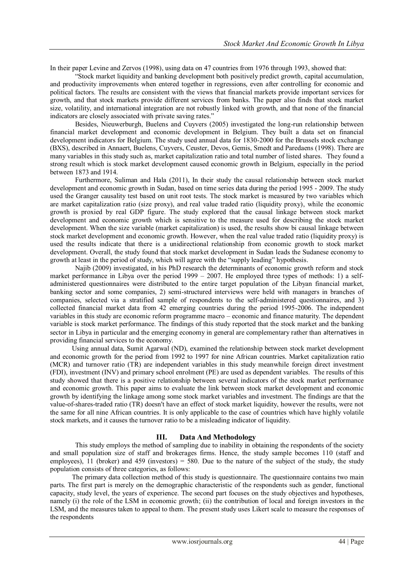In their paper Levine and Zervos (1998), using data on 47 countries from 1976 through 1993, showed that:

"Stock market liquidity and banking development both positively predict growth, capital accumulation, and productivity improvements when entered together in regressions, even after controlling for economic and political factors. The results are consistent with the views that financial markets provide important services for growth, and that stock markets provide different services from banks. The paper also finds that stock market size, volatility, and international integration are not robustly linked with growth, and that none of the financial indicators are closely associated with private saving rates."

Besides, Nieuwerburgh, Buelens and Cuyvers (2005) investigated the long-run relationship between financial market development and economic development in Belgium. They built a data set on financial development indicators for Belgium. The study used annual data for 1830-2000 for the Brussels stock exchange (BXS), described in Annaert, Buelens, Cuyvers, Ceuster, Devos, Gemis, Smedt and Paredaens (1998). There are many variables in this study such as, market capitalization ratio and total number of listed shares*.* They found a strong result which is stock market development caused economic growth in Belgium, especially in the period between 1873 and 1914.

Furthermore, Suliman and Hala (2011), In their study the causal relationship between stock market development and economic growth in Sudan, based on time series data during the period 1995 - 2009. The study used the Granger causality test based on unit root tests. The stock market is measured by two variables which are market capitalization ratio (size proxy), and real value traded ratio (liquidity proxy), while the economic growth is proxied by real GDP figure. The study explored that the causal linkage between stock market development and economic growth which is sensitive to the measure used for describing the stock market development. When the size variable (market capitalization) is used, the results show bi causal linkage between stock market development and economic growth. However, when the real value traded ratio (liquidity proxy) is used the results indicate that there is a unidirectional relationship from economic growth to stock market development. Overall, the study found that stock market development in Sudan leads the Sudanese economy to growth at least in the period of study, which will agree with the "supply leading" hypothesis.

Najib (2009) investigated, in his PhD research the determinants of economic growth reform and stock market performance in Libya over the period 1999 – 2007. He employed three types of methods: 1) a selfadministered questionnaires were distributed to the entire target population of the Libyan financial market, banking sector and some companies, 2) semi-structured interviews were held with managers in branches of companies, selected via a stratified sample of respondents to the self-administered questionnaires, and 3) collected financial market data from 42 emerging countries during the period 1995-2006. The independent variables in this study are economic reform programme macro – economic and finance maturity. The dependent variable is stock market performance. The findings of this study reported that the stock market and the banking sector in Libya in particular and the emerging economy in general are complementary rather than alternatives in providing financial services to the economy.

Using annual data, Sumit Agarwal (ND), examined the relationship between stock market development and economic growth for the period from 1992 to 1997 for nine African countries. Market capitalization ratio (MCR) and turnover ratio (TR) are independent variables in this study meanwhile foreign direct investment (FDI), investment (INV) and primary school enrolment (PE) are used as dependent variables. The results of this study showed that there is a positive relationship between several indicators of the stock market performance and economic growth. This paper aims to evaluate the link between stock market development and economic growth by identifying the linkage among some stock market variables and investment. The findings are that the value-of-shares-traded ratio (TR) doesn't have an effect of stock market liquidity, however the results, were not the same for all nine African countries. It is only applicable to the case of countries which have highly volatile stock markets, and it causes the turnover ratio to be a misleading indicator of liquidity.

## **III. Data And Methodology**

This study employs the method of sampling due to inability in obtaining the respondents of the society and small population size of staff and brokerages firms. Hence, the study sample becomes 110 (staff and employees), 11 (broker) and 459 (investors) = 580. Due to the nature of the subject of the study, the study population consists of three categories, as follows:

The primary data collection method of this study is questionnaire. The questionnaire contains two main parts. The first part is merely on the demographic characteristic of the respondents such as gender, functional capacity, study level, the years of experience. The second part focuses on the study objectives and hypotheses, namely (i) the role of the LSM in economic growth; (ii) the contribution of local and foreign investors in the LSM, and the measures taken to appeal to them. The present study uses Likert scale to measure the responses of the respondents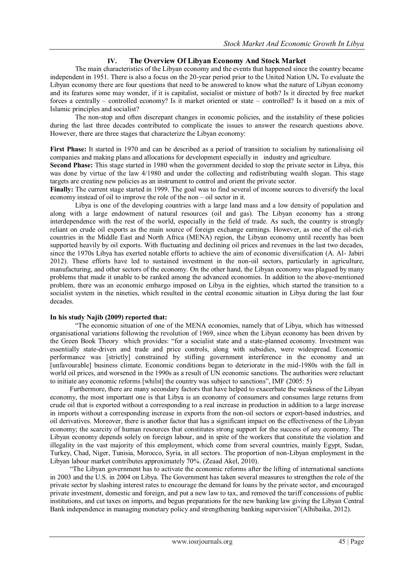# **IV. The Overview Of Libyan Economy And Stock Market**

The main characteristics of the Libyan economy and the events that happened since the country became independent in 1951. There is also a focus on the 20-year period prior to the United Nation UN**.** To evaluate the Libyan economy there are four questions that need to be answered to know what the nature of Libyan economy and its features some may wonder, if it is capitalist, socialist or mixture of both? Is it directed by free market forces a centrally – controlled economy? Is it market oriented or state – controlled? Is it based on a mix of Islamic principles and socialist?

The non-stop and often discrepant changes in economic policies, and the instability of these policies during the last three decades contributed to complicate the issues to answer the research questions above. However, there are three stages that characterize the Libyan economy:

**First Phase:** It started in 1970 and can be described as a period of transition to socialism by nationalising oil companies and making plans and allocations for development especially in industry and agriculture.

**Second Phase:** This stage started in 1980 when the government decided to stop the private sector in Libya, this was done by virtue of the law 4/1980 and under the collecting and redistributing wealth slogan. This stage targets are creating new policies as an instrument to control and orient the private sector.

**Finally:** The current stage started in 1999. The goal was to find several of income sources to diversify the local economy instead of oil to improve the role of the non – oil sector in it.

Libya is one of the developing countries with a large land mass and a low density of population and along with a large endowment of natural resources (oil and gas). The Libyan economy has a strong interdependence with the rest of the world, especially in the field of trade. As such, the country is strongly reliant on crude oil exports as the main source of foreign exchange earnings. However, as one of the oil-rich countries in the Middle East and North Africa (MENA) region, the Libyan economy until recently has been supported heavily by oil exports. With fluctuating and declining oil prices and revenues in the last two decades, since the 1970s Libya has exerted notable efforts to achieve the aim of economic diversification (A. Al- Jabiri 2012). These efforts have led to sustained investment in the non-oil sectors, particularly in agriculture, manufacturing, and other sectors of the economy. On the other hand, the Libyan economy was plagued by many problems that made it unable to be ranked among the advanced economies. In addition to the above-mentioned problem, there was an economic embargo imposed on Libya in the eighties, which started the transition to a socialist system in the nineties, which resulted in the central economic situation in Libya during the last four decades.

#### **In his study Najib (2009) reported that:**

"The economic situation of one of the MENA economies, namely that of Libya, which has witnessed organisational variations following the revolution of 1969, since when the Libyan economy has been driven by the Green Book Theory which provides: "for a socialist state and a state-planned economy. Investment was essentially state-driven and trade and price controls, along with subsidies, were widespread. Economic performance was [strictly] constrained by stifling government interference in the economy and an [unfavourable] business climate. Economic conditions began to deteriorate in the mid-1980s with the fall in world oil prices, and worsened in the 1990s as a result of UN economic sanctions. The authorities were reluctant to initiate any economic reforms [whilst] the country was subject to sanctions", IMF (2005: 5)

Furthermore, there are many secondary factors that have helped to exacerbate the weakness of the Libyan economy, the most important one is that Libya is an economy of consumers and consumes large returns from crude oil that is exported without a corresponding to a real increase in production in addition to a large increase in imports without a corresponding increase in exports from the non-oil sectors or export-based industries, and oil derivatives. Moreover, there is another factor that has a significant impact on the effectiveness of the Libyan economy; the scarcity of human resources that constitutes strong support for the success of any economy. The Libyan economy depends solely on foreign labour, and in spite of the workers that constitute the violation and illegality in the vast majority of this employment, which come from several countries, mainly Egypt, Sudan, Turkey, Chad, Niger, Tunisia, Morocco, Syria, in all sectors. The proportion of non-Libyan employment in the Libyan labour market contributes approximately 70%. (Zeaad Akel, 2010).

"The Libyan government has to activate the economic reforms after the lifting of international sanctions in 2003 and the U.S. in 2004 on Libya. The Government has taken several measures to strengthen the role of the private sector by slashing interest rates to encourage the demand for loans by the private sector, and encouraged private investment, domestic and foreign, and put a new law to tax, and removed the tariff concessions of public institutions, and cut taxes on imports, and begun preparations for the new banking law giving the Libyan Central Bank independence in managing monetary policy and strengthening banking supervision"(Alhibaika, 2012).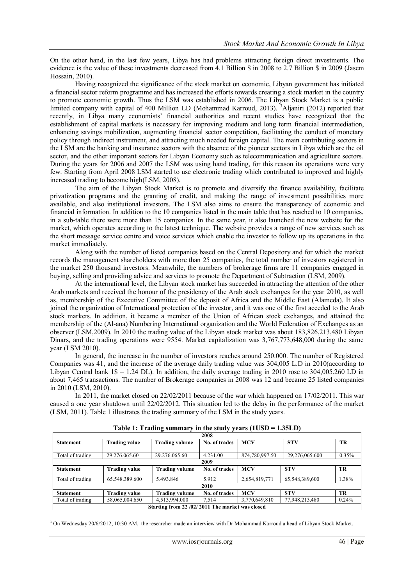On the other hand, in the last few years, Libya has had problems attracting foreign direct investments. The evidence is the value of these investments decreased from 4.1 Billion \$ in 2008 to 2.7 Billion \$ in 2009 (Jasem Hossain, 2010).

Having recognized the significance of the stock market on economic, Libyan government has initiated a financial sector reform programme and has increased the efforts towards creating a stock market in the country to promote economic growth. Thus the LSM was established in 2006. The Libyan Stock Market is a public limited company with capital of 400 Million LD (Mohammad Karroud, 2013). <sup>3</sup>Aljaniri (2012) reported that recently, in Libya many economists' financial authorities and recent studies have recognized that the establishment of capital markets is necessary for improving medium and long term financial intermediation, enhancing savings mobilization, augmenting financial sector competition, facilitating the conduct of monetary policy through indirect instrument, and attracting much needed foreign capital. The main contributing sectors in the LSM are the banking and insurance sectors with the absence of the pioneer sectors in Libya which are the oil sector, and the other important sectors for Libyan Economy such as telecommunication and agriculture sectors. During the years for 2006 and 2007 the LSM was using hand trading, for this reason its operations were very few. Starting from April 2008 LSM started to use electronic trading which contributed to improved and highly increased trading to become high(LSM, 2008).

The aim of the Libyan Stock Market is to promote and diversify the finance availability, facilitate privatization programs and the granting of credit, and making the range of investment possibilities more available, and also institutional investors. The LSM also aims to ensure the transparency of economic and financial information. In addition to the 10 companies listed in the main table that has reached to 10 companies, in a sub-table there were more than 15 companies. In the same year, it also launched the new website for the market, which operates according to the latest technique. The website provides a range of new services such as the short message service centre and voice services which enable the investor to follow up its operations in the market immediately.

Along with the number of listed companies based on the Central Depository and for which the market records the management shareholders with more than 25 companies, the total number of investors registered in the market 250 thousand investors. Meanwhile, the numbers of brokerage firms are 11 companies engaged in buying, selling and providing advice and services to promote the Department of Subtraction (LSM, 2009).

At the international level, the Libyan stock market has succeeded in attracting the attention of the other Arab markets and received the honour of the presidency of the Arab stock exchanges for the year 2010, as well as, membership of the Executive Committee of the deposit of Africa and the Middle East (Alameda). It also joined the organization of International protection of the investor, and it was one of the first acceded to the Arab stock markets. In addition, it became a member of the Union of African stock exchanges, and attained the membership of the (Al-ana) Numbering International organization and the World Federation of Exchanges as an observer (LSM,2009). In 2010 the trading value of the Libyan stock market was about 183,826,213,480 Libyan Dinars, and the trading operations were 9554. Market capitalization was 3,767,773,648,000 during the same year (LSM 2010).

In general, the increase in the number of investors reaches around 250.000. The number of Registered Companies was 41, and the increase of the average daily trading value was 304,005 L.D in 2010(according to Libyan Central bank  $1\$  = 1.24 DL). In addition, the daily average trading in 2010 rose to 304,005.260 LD in about 7,465 transactions. The number of Brokerage companies in 2008 was 12 and became 25 listed companies in 2010 (LSM, 2010).

In 2011, the market closed on 22/02/2011 because of the war which happened on 17/02/2011. This war caused a one year shutdown until 22/02/2012. This situation led to the delay in the performance of the market (LSM, 2011). Table 1 illustrates the trading summary of the LSM in the study years.

| rapic 1. rrading summary<br>in the stuary years (100D<br>1.00 J L D |                      |                       |               |                |                |           |  |  |
|---------------------------------------------------------------------|----------------------|-----------------------|---------------|----------------|----------------|-----------|--|--|
| 2008                                                                |                      |                       |               |                |                |           |  |  |
| <b>Statement</b>                                                    | <b>Trading value</b> | <b>Trading volume</b> | No. of trades | <b>MCV</b>     | <b>STV</b>     | TR        |  |  |
|                                                                     |                      |                       |               |                |                |           |  |  |
| Total of trading                                                    | 29.276.065.60        | 29.276.065.60         | 4.231.00      | 874,780,997.50 | 29,276,065.600 | $0.35\%$  |  |  |
| 2009                                                                |                      |                       |               |                |                |           |  |  |
| <b>Statement</b>                                                    | <b>Trading value</b> | <b>Trading volume</b> | No. of trades | <b>MCV</b>     | <b>STV</b>     | <b>TR</b> |  |  |
| Total of trading                                                    | 65.548.389.600       | 5.493.846             | 5.912         | 2,654,819,771  | 65,548,389,600 | 1.38%     |  |  |
|                                                                     | 2010                 |                       |               |                |                |           |  |  |
| <b>Statement</b>                                                    | Trading value        | <b>Trading volume</b> | No. of trades | <b>MCV</b>     | <b>STV</b>     | <b>TR</b> |  |  |
| Total of trading                                                    | 58,065,004.650       | 4,513,994.000         | 7,514         | 3,770,649,810  | 77,948,213,480 | 0.24%     |  |  |
| Starting from 22/02/2011 The market was closed                      |                      |                       |               |                |                |           |  |  |

**Table 1: Trading summary in the study years (1USD = 1.35LD)**

-<sup>3</sup> On Wednesday 20/6/2012, 10:30 AM, the researcher made an interview with Dr Mohammad Karroud a head of Libyan Stock Market.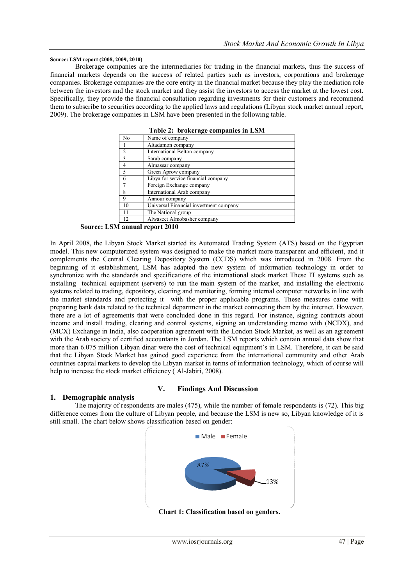#### **Source: LSM report (2008, 2009, 2010)**

Brokerage companies are the intermediaries for trading in the financial markets, thus the success of financial markets depends on the success of related parties such as investors, corporations and brokerage companies. Brokerage companies are the core entity in the financial market because they play the mediation role between the investors and the stock market and they assist the investors to access the market at the lowest cost. Specifically, they provide the financial consultation regarding investments for their customers and recommend them to subscribe to securities according to the applied laws and regulations (Libyan stock market annual report, 2009). The brokerage companies in LSM have been presented in the following table.

| No             | r abit $\mathbf{z}$ . Di oiverage companies in Ebiti<br>Name of company |
|----------------|-------------------------------------------------------------------------|
|                | Altadamon company                                                       |
| $\overline{2}$ | International Belton company                                            |
| $\mathbf{3}$   | Sarab company                                                           |
| 4              | Almassar company                                                        |
| 5              | Green Aprow company                                                     |
| 6              | Libya for service financial company                                     |
|                | Foreign Exchange company                                                |
| 8              | International Arab company                                              |
| 9              | Annour company                                                          |
| 10             | Universal Financial investment company                                  |
|                | The National group                                                      |
| 12.            | Alwaseet Almobasher company                                             |

**Table 2: brokerage companies in LSM**

**Source: LSM annual report 2010**

In April 2008, the Libyan Stock Market started its Automated Trading System (ATS) based on the Egyptian model. This new computerized system was designed to make the market more transparent and efficient, and it complements the Central Clearing Depository System (CCDS) which was introduced in 2008. From the beginning of it establishment, LSM has adapted the new system of information technology in order to synchronize with the standards and specifications of the international stock market These IT systems such as installing technical equipment (servers) to run the main system of the market, and installing the electronic systems related to trading, depository, clearing and monitoring, forming internal computer networks in line with the market standards and protecting it with the proper applicable programs. These measures came with preparing bank data related to the technical department in the market connecting them by the internet. However, there are a lot of agreements that were concluded done in this regard. For instance, signing contracts about income and install trading, clearing and control systems, signing an understanding memo with (NCDX), and (MCX) Exchange in India, also cooperation agreement with the London Stock Market, as well as an agreement with the Arab society of certified accountants in Jordan. The LSM reports which contain annual data show that more than 6.075 million Libyan dinar were the cost of technical equipment's in LSM. Therefore, it can be said that the Libyan Stock Market has gained good experience from the international community and other Arab countries capital markets to develop the Libyan market in terms of information technology, which of course will help to increase the stock market efficiency ( Al-Jabiri, 2008).

## **V. Findings And Discussion**

#### **1. Demographic analysis**

The majority of respondents are males (475), while the number of female respondents is (72). This big difference comes from the culture of Libyan people, and because the LSM is new so, Libyan knowledge of it is still small. The chart below shows classification based on gender:

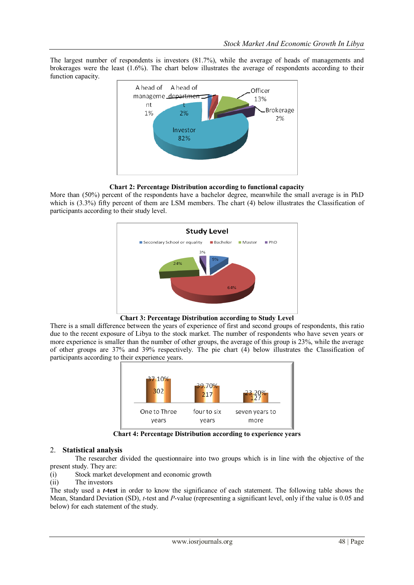The largest number of respondents is investors (81.7%), while the average of heads of managements and brokerages were the least (1.6%). The chart below illustrates the average of respondents according to their function capacity.



# **Chart 2: Percentage Distribution according to functional capacity**

More than (50%) percent of the respondents have a bachelor degree, meanwhile the small average is in PhD which is (3.3%) fifty percent of them are LSM members. The chart (4) below illustrates the Classification of participants according to their study level.



**Chart 3: Percentage Distribution according to Study Level**

There is a small difference between the years of experience of first and second groups of respondents, this ratio due to the recent exposure of Libya to the stock market. The number of respondents who have seven years or more experience is smaller than the number of other groups, the average of this group is 23%, while the average of other groups are 37% and 39% respectively. The pie chart (4) below illustrates the Classification of participants according to their experience years.



**Chart 4: Percentage Distribution according to experience years**

## 2. **Statistical analysis**

The researcher divided the questionnaire into two groups which is in line with the objective of the present study. They are:

- (i) Stock market development and economic growth
- (ii) The investors

The study used a *t***-test** in order to know the significance of each statement. The following table shows the Mean, Standard Deviation (SD), *t*-test and *P*-value (representing a significant level, only if the value is 0.05 and below) for each statement of the study.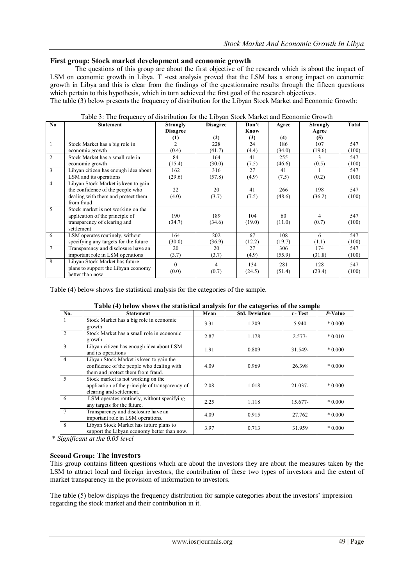## **First group: Stock market development and economic growth**

The questions of this group are about the first objective of the research which is about the impact of LSM on economic growth in Libya. T -test analysis proved that the LSM has a strong impact on economic growth in Libya and this is clear from the findings of the questionnaire results through the fifteen questions which pertain to this hypothesis, which in turn achieved the first goal of the research objectives.

The table (3) below presents the frequency of distribution for the Libyan Stock Market and Economic Growth:

| No             | <b>Statement</b>                      | <b>Strongly</b>  | <b>Disagree</b> | Don't  | Agree  | <b>Strongly</b> | Total |
|----------------|---------------------------------------|------------------|-----------------|--------|--------|-----------------|-------|
|                |                                       | <b>Disagree</b>  |                 | Know   |        | Agree           |       |
|                |                                       | $\left(1\right)$ | (2)             | (3)    | (4)    | (5)             |       |
|                | Stock Market has a big role in        | $\mathfrak{D}$   | 228             | 24     | 186    | 107             | 547   |
|                | economic growth                       | (0.4)            | (41.7)          | (4.4)  | (34.0) | (19.6)          | (100) |
| 2              | Stock Market has a small role in      | 84               | 164             | 41     | 255    | 3               | 547   |
|                | economic growth                       | (15.4)           | (30.0)          | (7.5)  | (46.6) | (0.5)           | (100) |
| 3              | Libyan citizen has enough idea about  | 162              | 316             | 27     | 41     |                 | 547   |
|                | LSM and its operations                | (29.6)           | (57.8)          | (4.9)  | (7.5)  | (0.2)           | (100) |
| $\overline{4}$ | Libyan Stock Market is keen to gain   |                  |                 |        |        |                 |       |
|                | the confidence of the people who      | 22               | 20              | 41     | 266    | 198             | 547   |
|                | dealing with them and protect them    | (4.0)            | (3.7)           | (7.5)  | (48.6) | (36.2)          | (100) |
|                | from fraud                            |                  |                 |        |        |                 |       |
| 5              | Stock market is not working on the    |                  |                 |        |        |                 |       |
|                | application of the principle of       | 190              | 189             | 104    | 60     | 4               | 547   |
|                | transparency of clearing and          | (34.7)           | (34.6)          | (19.0) | (11.0) | (0.7)           | (100) |
|                | settlement                            |                  |                 |        |        |                 |       |
| 6              | LSM operates routinely, without       | 164              | 202             | 67     | 108    | 6               | 547   |
|                | specifying any targets for the future | (30.0)           | (36.9)          | (12.2) | (19.7) | (1.1)           | (100) |
| 7              | Transparency and disclosure have an   | 20               | 20              | 27     | 306    | 174             | 547   |
|                | important role in LSM operations      | (3.7)            | (3.7)           | (4.9)  | (55.9) | (31.8)          | (100) |
| 8              | Libyan Stock Market has future        | $\Omega$         | $\overline{4}$  | 134    | 281    | 128             | 547   |
|                | plans to support the Libyan economy   | (0.0)            | (0.7)           | (24.5) | (51.4) | (23.4)          | (100) |
|                | better than now                       |                  |                 |        |        |                 |       |

Table 3: The frequency of distribution for the Libyan Stock Market and Economic Growth

Table (4) below shows the statistical analysis for the categories of the sample.

#### **Table (4) below shows the statistical analysis for the categories of the sample**

| No. | <b>Statement</b>                                                                                                          | Mean | <b>Std. Deviation</b> | $t$ - Test | P-Value  |
|-----|---------------------------------------------------------------------------------------------------------------------------|------|-----------------------|------------|----------|
|     | Stock Market has a big role in economic<br>growth                                                                         | 3.31 | 1.209                 | 5.940      | $*0.000$ |
|     | Stock Market has a small role in economic<br>growth                                                                       | 2.87 | 1.178                 | $2.577-$   | $*0.010$ |
|     | Libyan citizen has enough idea about LSM<br>and its operations                                                            | 1.91 | 0.809                 | 31.549-    | $*0.000$ |
| 4   | Libyan Stock Market is keen to gain the<br>confidence of the people who dealing with<br>them and protect them from fraud. | 4.09 | 0.969                 | 26.398     | $*0.000$ |
| 5   | Stock market is not working on the<br>application of the principle of transparency of<br>clearing and settlement.         | 2.08 | 1.018                 | 21.037-    | $*0.000$ |
| 6   | LSM operates routinely, without specifying<br>any targets for the future.                                                 | 2.25 | 1.118                 | 15.677-    | $*0.000$ |
|     | Transparency and disclosure have an<br>important role in LSM operations.                                                  | 4.09 | 0.915                 | 27.762     | $*0.000$ |
| 8   | Libyan Stock Market has future plans to<br>support the Libyan economy better than now.                                    | 3.97 | 0.713                 | 31.959     | $*0.000$ |

\* *Significant at the 0.05 level*

# **Second Group: The investors**

This group contains fifteen questions which are about the investors they are about the measures taken by the LSM to attract local and foreign investors, the contribution of these two types of investors and the extent of market transparency in the provision of information to investors.

The table (5) below displays the frequency distribution for sample categories about the investors' impression regarding the stock market and their contribution in it.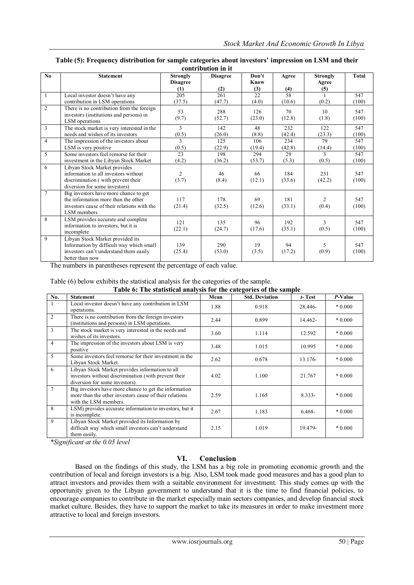| $\mathbf{N}\mathbf{0}$ | <b>Statement</b>                            | <b>Strongly</b> | <b>Disagree</b> | Don't  | Agree            | <b>Strongly</b> | <b>Total</b> |  |
|------------------------|---------------------------------------------|-----------------|-----------------|--------|------------------|-----------------|--------------|--|
|                        |                                             | <b>Disagree</b> |                 | Know   |                  | Agree           |              |  |
|                        |                                             | (1)             | (2)             | (3)    | $\frac{(4)}{58}$ | (5)             |              |  |
| $\mathbf{1}$           | Local investor doesn't have any             | 205             | 261             | 22     |                  |                 | 547          |  |
|                        | contribution in LSM operations              | (37.5)          | (47.7)          | (4.0)  | (10.6)           | (0.2)           | (100)        |  |
| $\overline{2}$         | There is no contribution from the foreign   | 53              | 288             | 126    | 70               | 10              | 547          |  |
|                        | investors (institutions and persons) in     |                 |                 |        |                  |                 |              |  |
|                        | LSM operations                              | (9.7)           | (52.7)          | (23.0) | (12.8)           | (1.8)           | (100)        |  |
| 3                      | The stock market is very interested in the  | 3               | 142             | 48     | 232              | 122             | 547          |  |
|                        | needs and wishes of its investors           | (0.5)           | (26.0)          | (8.8)  | (42.4)           | (23.3)          | (100)        |  |
| $\overline{4}$         | The impression of the investors about       | 3               | 125             | 106    | 234              | 79              | 547          |  |
|                        | LSM is very positive                        | (0.5)           | (22.9)          | (19.4) | (42.8)           | (14.4)          | (100)        |  |
| 5                      | Some investors feel remorse for their       | 23              | 198             | 294    | 29               | $\mathbf{3}$    | 547          |  |
|                        | investment in the Libyan Stock Market       | (4.2)           | (36.2)          | (53.7) | (5.3)            | (0.5)           | (100)        |  |
| 6                      | Libyan Stock Market provides                |                 |                 |        |                  |                 |              |  |
|                        | information to all investors without        | $\overline{c}$  | 46              | 66     | 184              | 231             | 547          |  |
|                        | discrimination (with prevent their          | (3.7)           | (8.4)           | (12.1) | (33.6)           | (42.2)          | (100)        |  |
|                        | diversion for some investors)               |                 |                 |        |                  |                 |              |  |
| $\overline{7}$         | Big investors have more chance to get       |                 |                 |        |                  |                 |              |  |
|                        | the information more than the other         | 117             | 178             | 69     | 181              | 2               | 547          |  |
|                        | investors cause of their relations with the | (21.4)          | (32.5)          | (12.6) | (33.1)           | (0.4)           | (100)        |  |
|                        | LSM members                                 |                 |                 |        |                  |                 |              |  |
| 8                      | LSM provides accurate and complete          | 121             | 135             | 96     | 192              | 3               | 547          |  |
|                        | information to investors, but it is         |                 |                 |        |                  |                 |              |  |
|                        | incomplete                                  | (22.1)          | (24.7)          | (17.6) | (35.1)           | (0.5)           | (100)        |  |
| 9                      | Libyan Stock Market provided its            |                 |                 |        |                  |                 |              |  |
|                        | Information by difficult way which small    | 139             | 290             | 19     | 94               | 5.              | 547          |  |
|                        | investors can't understand them easily      | (25.4)          | (53.0)          | (3.5)  | (17.2)           | (0.9)           | (100)        |  |
|                        | better than now                             |                 |                 |        |                  |                 |              |  |

#### **Table (5): Frequency distribution for sample categories about investors' impression on LSM and their contribution in it**

The numbers in parentheses represent the percentage of each value.

Table (6) below exhibits the statistical analysis for the categories of the sample. **Table 6: The statistical analysis for the categories of the sample**

|                 | Table 0. The statistical analysis for the categories of the sample                                                                        |      |                       |         |          |  |  |  |
|-----------------|-------------------------------------------------------------------------------------------------------------------------------------------|------|-----------------------|---------|----------|--|--|--|
| No.             | <b>Statement</b>                                                                                                                          | Mean | <b>Std. Deviation</b> | t-Test  | P-Value  |  |  |  |
|                 | Local investor doesn't have any contribution in LSM<br>operations.                                                                        | 1.88 | 0.918                 | 28.446- | $*0.000$ |  |  |  |
| $\overline{2}$  | There is no contribution from the foreign investors<br>(institutions and persons) in LSM operations.                                      | 2.44 | 0.899                 | 14.462- | $*0.000$ |  |  |  |
| 3               | The stock market is very interested in the needs and<br>wishes of its investors.                                                          | 3.60 | 1.114                 | 12.592  | $*0.000$ |  |  |  |
| $\overline{4}$  | The impression of the investors about LSM is very<br>positive                                                                             | 3.48 | 1.015                 | 10.995  | $*0.000$ |  |  |  |
| 5               | Some investors feel remorse for their investment in the<br>Libyan Stock Market.                                                           | 2.62 | 0.678                 | 13.176- | $*0.000$ |  |  |  |
| 6               | Libyan Stock Market provides information to all<br>investors without discrimination (with prevent their<br>diversion for some investors). | 4.02 | 1.100                 | 21.767  | $*0.000$ |  |  |  |
| $7\phantom{.0}$ | Big investors have more chance to get the information<br>more than the other investors cause of their relations<br>with the LSM members.  | 2.59 | 1.165                 | 8.333-  | $*0.000$ |  |  |  |
| 8               | LSM) provides accurate information to investors, but it<br>is incomplete.                                                                 | 2.67 | 1.183                 | 6.468-  | $*0.000$ |  |  |  |
| 9               | Libyan Stock Market provided its Information by<br>difficult way which small investors can't understand<br>them easily.                   | 2.15 | 1.019                 | 19.479- | $*0.000$ |  |  |  |

*\*Significant at the 0.05 level*

# **VI. Conclusion**

Based on the findings of this study, the LSM has a big role in promoting economic growth and the contribution of local and foreign investors is a big. Also, LSM took made good measures and has a good plan to attract investors and provides them with a suitable environment for investment. This study comes up with the opportunity given to the Libyan government to understand that it is the time to find financial policies, to encourage companies to contribute in the market especially main sectors companies, and develop financial stock market culture. Besides, they have to support the market to take its measures in order to make investment more attractive to local and foreign investors.